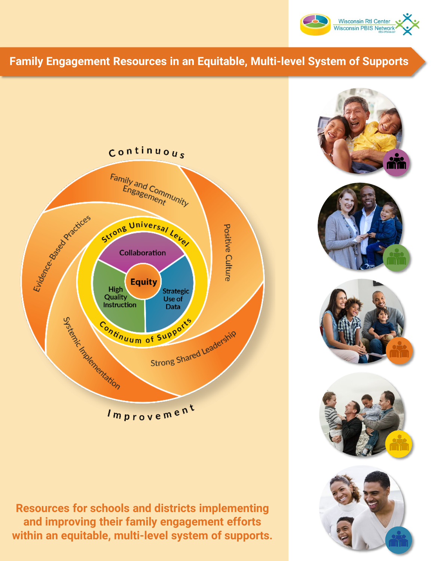

## **Family Engagement Resources in an Equitable, Multi-level System of Supports**





**Resources for schools and districts implementing and improving their family engagement efforts within an equitable, multi-level system of supports.**